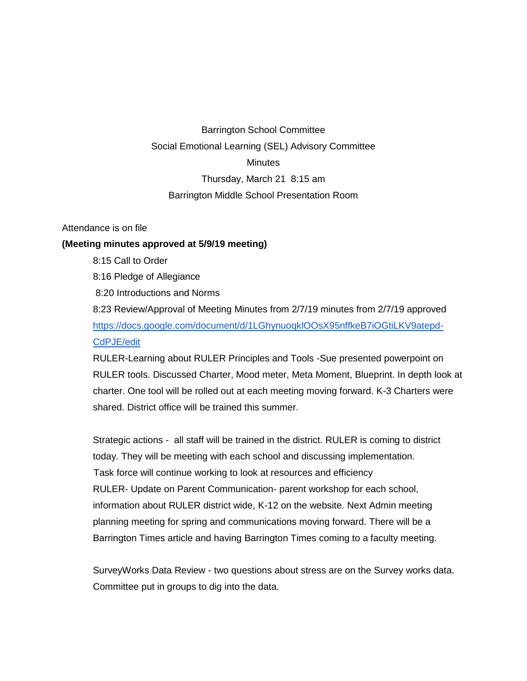## Barrington School Committee Social Emotional Learning (SEL) Advisory Committee **Minutes** Thursday, March 21 8:15 am Barrington Middle School Presentation Room

## Attendance is on file

## **(Meeting minutes approved at 5/9/19 meeting)**

- 8:15 Call to Order
- 8:16 Pledge of Allegiance
- 8:20 Introductions and Norms

8:23 Review/Approval of Meeting Minutes from 2/7/19 minutes from 2/7/19 approved [https://docs.google.com/document/d/1LGhynuoqklOOsX95nffkeB7iOGtiLKV9atepd-](https://docs.google.com/document/d/1LGhynuoqklOOsX95nffkeB7iOGtiLKV9atepd-CdPJE/edit)[CdPJE/edit](https://docs.google.com/document/d/1LGhynuoqklOOsX95nffkeB7iOGtiLKV9atepd-CdPJE/edit)

RULER-Learning about RULER Principles and Tools -Sue presented powerpoint on RULER tools. Discussed Charter, Mood meter, Meta Moment, Blueprint. In depth look at charter. One tool will be rolled out at each meeting moving forward. K-3 Charters were shared. District office will be trained this summer.

Strategic actions - all staff will be trained in the district. RULER is coming to district today. They will be meeting with each school and discussing implementation. Task force will continue working to look at resources and efficiency RULER- Update on Parent Communication- parent workshop for each school, information about RULER district wide, K-12 on the website. Next Admin meeting planning meeting for spring and communications moving forward. There will be a Barrington Times article and having Barrington Times coming to a faculty meeting.

SurveyWorks Data Review - two questions about stress are on the Survey works data. Committee put in groups to dig into the data.